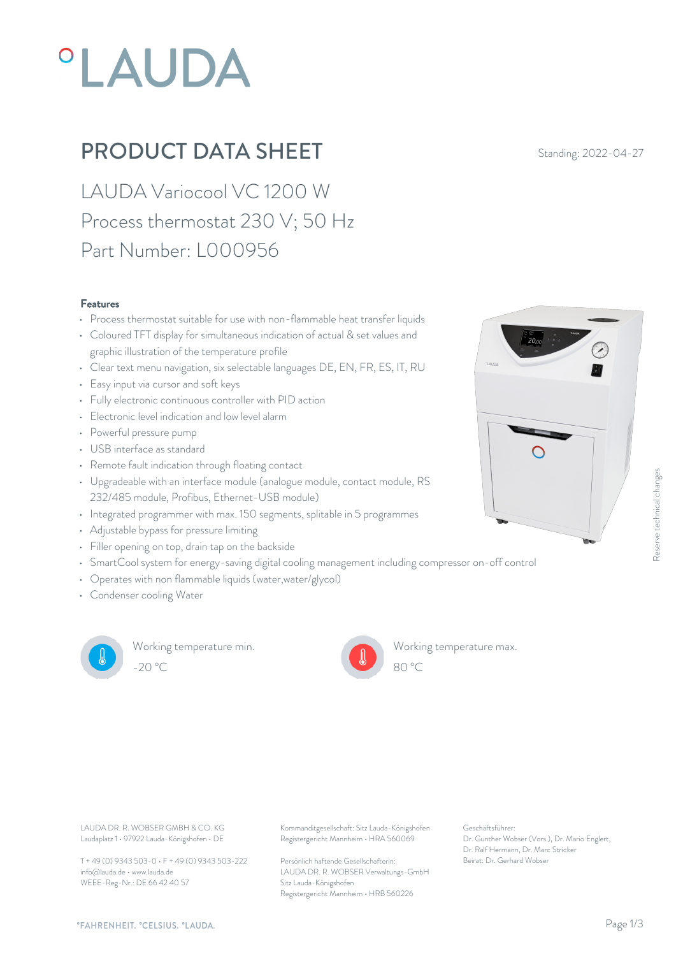# **°LAUDA**

### **PRODUCT DATA SHEET** Standing: 2022-04-27

LAUDA Variocool VC 1200 W Process thermostat 230 V; 50 Hz Part Number: L000956

#### Features

- Process thermostat suitable for use with non-flammable heat transfer liquids
- Coloured TFT display for simultaneous indication of actual & set values and graphic illustration of the temperature profile
- Clear text menu navigation, six selectable languages DE, EN, FR, ES, IT, RU
- Easy input via cursor and soft keys
- Fully electronic continuous controller with PID action
- Electronic level indication and low level alarm
- Powerful pressure pump
- USB interface as standard
- Remote fault indication through floating contact
- Upgradeable with an interface module (analogue module, contact module, RS 232/485 module, Profibus, Ethernet-USB module)
- Integrated programmer with max. 150 segments, splitable in 5 programmes
- Adjustable bypass for pressure limiting
- Filler opening on top, drain tap on the backside
- SmartCool system for energy-saving digital cooling management including compressor on-off control
- Operates with non flammable liquids (water,water/glycol)
- Condenser cooling Water



Working temperature min. -20 °C 80 °C



Working temperature max.



Laudaplatz 1 • 97922 Lauda-Königshofen • DE

T + 49 (0) 9343 503-0 • F + 49 (0) 9343 503-222 info@lauda.de • www.lauda.de WEEE-Reg-Nr.: DE 66 42 40 57

LAUDA DR. R. WOBSER GMBH & CO. KG Kommanditgesellschaft: Sitz Lauda-Königshofen Geschäftsführer: Registergericht Mannheim • HRA 560069

> Persönlich haftende Gesellschafterin: Beirat: Dr. Gerhard Wobse LAUDA DR. R. WOBSER Verwaltungs-GmbH Sitz Lauda-Königshofen Registergericht Mannheim • HRB 560226

Geschäftsführer: Dr. Gunther Wobser (Vors.), Dr. Mario Englert, Dr. Ralf Hermann, Dr. Marc Stricker

80 °C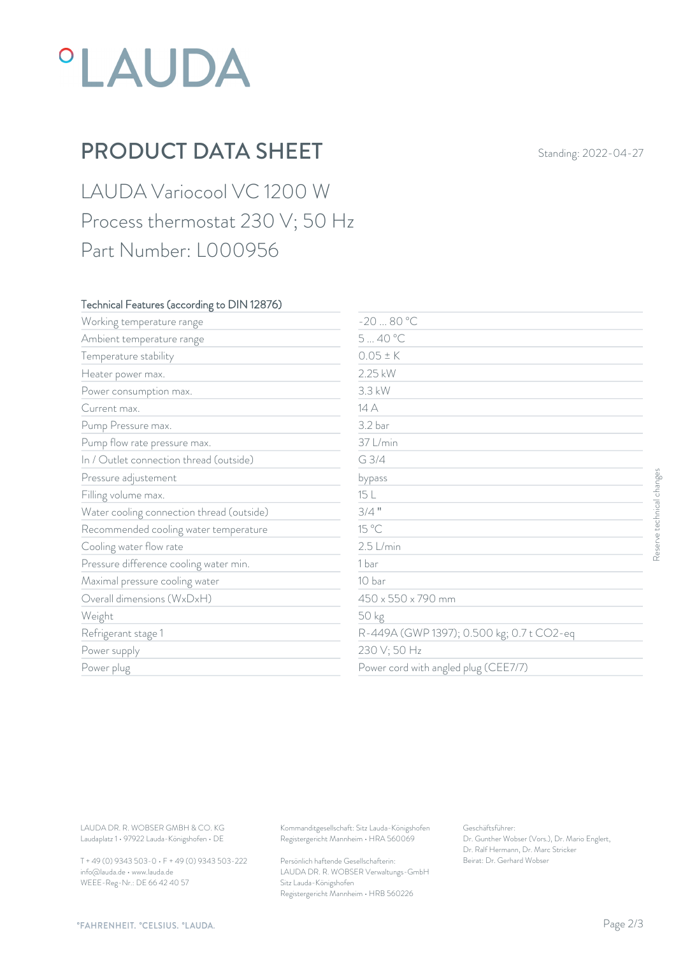## *°LAUDA*

## PRODUCT DATA SHEET Standing: 2022-04-27

LAUDA Variocool VC 1200 W Process thermostat 230 V; 50 Hz Part Number: L000956

#### Technical Features (according to DIN 12876)

| Working temperature range                                                        | $-2080 °C$                                                                             |                                                                                                           |                           |
|----------------------------------------------------------------------------------|----------------------------------------------------------------------------------------|-----------------------------------------------------------------------------------------------------------|---------------------------|
| Ambient temperature range                                                        | 540 °C                                                                                 |                                                                                                           |                           |
| Temperature stability                                                            | $0.05 \pm K$                                                                           |                                                                                                           |                           |
| Heater power max.                                                                | 2.25 kW                                                                                |                                                                                                           |                           |
| Power consumption max.                                                           | 3.3 kW                                                                                 |                                                                                                           |                           |
| Current max.                                                                     | 14 A                                                                                   |                                                                                                           |                           |
| Pump Pressure max.                                                               | 3.2 bar                                                                                |                                                                                                           |                           |
| Pump flow rate pressure max.                                                     | 37 L/min                                                                               |                                                                                                           |                           |
| In / Outlet connection thread (outside)                                          | G 3/4                                                                                  |                                                                                                           |                           |
| Pressure adjustement                                                             | bypass                                                                                 |                                                                                                           |                           |
| Filling volume max.                                                              | 15 L                                                                                   |                                                                                                           |                           |
| Water cooling connection thread (outside)                                        | $3/4$ "                                                                                |                                                                                                           | Reserve technical changes |
| Recommended cooling water temperature                                            | 15 °C                                                                                  |                                                                                                           |                           |
| Cooling water flow rate                                                          | $2.5$ L/min                                                                            |                                                                                                           |                           |
| Pressure difference cooling water min.                                           | 1 bar                                                                                  |                                                                                                           |                           |
| Maximal pressure cooling water                                                   | 10 bar                                                                                 |                                                                                                           |                           |
| Overall dimensions (WxDxH)                                                       | 450 x 550 x 790 mm                                                                     |                                                                                                           |                           |
| Weight                                                                           | 50 kg                                                                                  |                                                                                                           |                           |
| Refrigerant stage 1                                                              |                                                                                        | R-449A (GWP 1397); 0.500 kg; 0.7 t CO2-eq                                                                 |                           |
| Power supply                                                                     | 230 V; 50 Hz                                                                           |                                                                                                           |                           |
| Power plug                                                                       |                                                                                        | Power cord with angled plug (CEE7/7)                                                                      |                           |
|                                                                                  |                                                                                        |                                                                                                           |                           |
| LAUDA DR. R. WOBSER GMBH & CO. KG<br>Laudaplatz 1 · 97922 Lauda-Königshofen · DE | Kommanditgesellschaft: Sitz Lauda-Königshofen<br>Registergericht Mannheim · HRA 560069 | Geschäftsführer:<br>Dr. Gunther Wobser (Vors.), Dr. Mario Englert,<br>Dr. Ralf Hermann, Dr. Marc Stricker |                           |
| T + 49 (0) 9343 503-0 · F + 49 (0) 9343 503-222                                  | Beirat: Dr. Gerhard Wobser<br>Persönlich haftende Gesellschafterin:                    |                                                                                                           |                           |

T + 49 (0) 9343 503-0 • F + 49 (0) 9343 503-222 info@lauda.de • www.lauda.de WEEE-Reg-Nr.: DE 66 42 40 57

> Persönlich haftende Gesellschafterin: Beirat: Dr. Gerhard Wobser LAUDA DR. R. WOBSER Verwaltungs-GmbH Sitz Lauda-Königshofen Registergericht Mannheim • HRB 560226